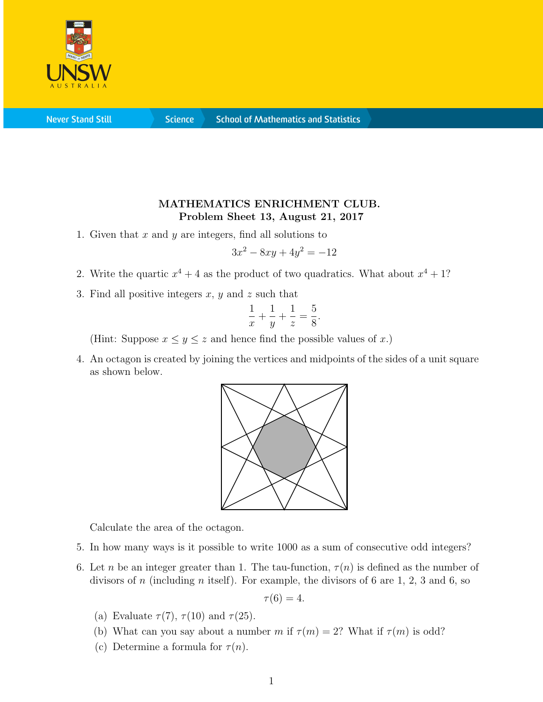

**Never Stand Still** 

**Science** 

## MATHEMATICS ENRICHMENT CLUB. Problem Sheet 13, August 21, 2017

1. Given that  $x$  and  $y$  are integers, find all solutions to

$$
3x^2 - 8xy + 4y^2 = -12
$$

- 2. Write the quartic  $x^4 + 4$  as the product of two quadratics. What about  $x^4 + 1$ ?
- 3. Find all positive integers  $x, y$  and  $z$  such that

$$
\frac{1}{x} + \frac{1}{y} + \frac{1}{z} = \frac{5}{8}.
$$

(Hint: Suppose  $x \leq y \leq z$  and hence find the possible values of x.)

4. An octagon is created by joining the vertices and midpoints of the sides of a unit square as shown below.



Calculate the area of the octagon.

- 5. In how many ways is it possible to write 1000 as a sum of consecutive odd integers?
- 6. Let n be an integer greater than 1. The tau-function,  $\tau(n)$  is defined as the number of divisors of n (including n itself). For example, the divisors of 6 are  $1, 2, 3$  and 6, so

$$
\tau(6)=4.
$$

- (a) Evaluate  $\tau(7)$ ,  $\tau(10)$  and  $\tau(25)$ .
- (b) What can you say about a number m if  $\tau(m) = 2$ ? What if  $\tau(m)$  is odd?
- (c) Determine a formula for  $\tau(n)$ .